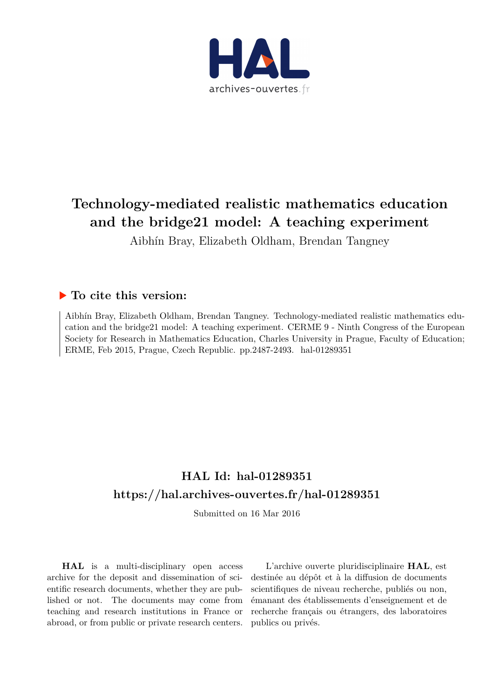

# **Technology-mediated realistic mathematics education and the bridge21 model: A teaching experiment**

Aibhín Bray, Elizabeth Oldham, Brendan Tangney

# **To cite this version:**

Aibhín Bray, Elizabeth Oldham, Brendan Tangney. Technology-mediated realistic mathematics education and the bridge21 model: A teaching experiment. CERME 9 - Ninth Congress of the European Society for Research in Mathematics Education, Charles University in Prague, Faculty of Education; ERME, Feb 2015, Prague, Czech Republic. pp.2487-2493. hal-01289351

# **HAL Id: hal-01289351 <https://hal.archives-ouvertes.fr/hal-01289351>**

Submitted on 16 Mar 2016

**HAL** is a multi-disciplinary open access archive for the deposit and dissemination of scientific research documents, whether they are published or not. The documents may come from teaching and research institutions in France or abroad, or from public or private research centers.

L'archive ouverte pluridisciplinaire **HAL**, est destinée au dépôt et à la diffusion de documents scientifiques de niveau recherche, publiés ou non, émanant des établissements d'enseignement et de recherche français ou étrangers, des laboratoires publics ou privés.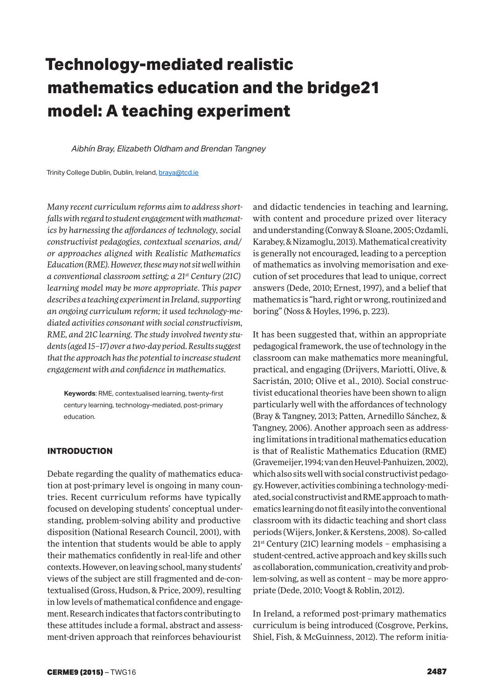# **Technology-mediated realistic mathematics education and the bridge21 model: A teaching experiment**

*Aibhín Bray, Elizabeth Oldham and Brendan Tangney*

Trinity College Dublin, Dublin, Ireland, braya@tcd.ie

*Many recent curriculum reforms aim to address shortfalls with regard to student engagement with mathematics by harnessing the affordances of technology, social constructivist pedagogies, contextual scenarios, and/ or approaches aligned with Realistic Mathematics Education (RME). However, these may not sit well within a conventional classroom setting; a 21st Century (21C) learning model may be more appropriate. This paper describes a teaching experiment in Ireland, supporting an ongoing curriculum reform; it used technology-mediated activities consonant with social constructivism, RME, and 21C learning. The study involved twenty students (aged 15–17) over a two-day period. Results suggest that the approach has the potential to increase student engagement with and confidence in mathematics.*

**Keywords**: RME, contextualised learning, twenty-first century learning, technology-mediated, post-primary education.

# **INTRODUCTION**

Debate regarding the quality of mathematics education at post-primary level is ongoing in many countries. Recent curriculum reforms have typically focused on developing students' conceptual understanding, problem-solving ability and productive disposition (National Research Council, 2001), with the intention that students would be able to apply their mathematics confidently in real-life and other contexts. However, on leaving school, many students' views of the subject are still fragmented and de-contextualised (Gross, Hudson, & Price, 2009), resulting in low levels of mathematical confidence and engagement. Research indicates that factors contributing to these attitudes include a formal, abstract and assessment-driven approach that reinforces behaviourist

and didactic tendencies in teaching and learning, with content and procedure prized over literacy and understanding (Conway & Sloane, 2005; Ozdamli, Karabey, & Nizamoglu, 2013). Mathematical creativity is generally not encouraged, leading to a perception of mathematics as involving memorisation and execution of set procedures that lead to unique, correct answers (Dede, 2010; Ernest, 1997), and a belief that mathematics is "hard, right or wrong, routinized and boring" (Noss & Hoyles, 1996, p. 223).

It has been suggested that, within an appropriate pedagogical framework, the use of technology in the classroom can make mathematics more meaningful, practical, and engaging (Drijvers, Mariotti, Olive, & Sacristán, 2010; Olive et al., 2010). Social constructivist educational theories have been shown to align particularly well with the affordances of technology (Bray & Tangney, 2013; Patten, Arnedillo Sánchez, & Tangney, 2006). Another approach seen as addressing limitations in traditional mathematics education is that of Realistic Mathematics Education (RME) (Gravemeijer, 1994; van den Heuvel-Panhuizen, 2002), which also sits well with social constructivist pedagogy. However, activities combining a technology-mediated, social constructivist and RME approach to mathematics learning do not fit easily into the conventional classroom with its didactic teaching and short class periods (Wijers, Jonker, & Kerstens, 2008). So-called  $21<sup>st</sup>$  Century (21C) learning models – emphasising a student-centred, active approach and key skills such as collaboration, communication, creativity and problem-solving, as well as content – may be more appropriate (Dede, 2010; Voogt & Roblin, 2012).

In Ireland, a reformed post-primary mathematics curriculum is being introduced (Cosgrove, Perkins, Shiel, Fish, & McGuinness, 2012). The reform initia-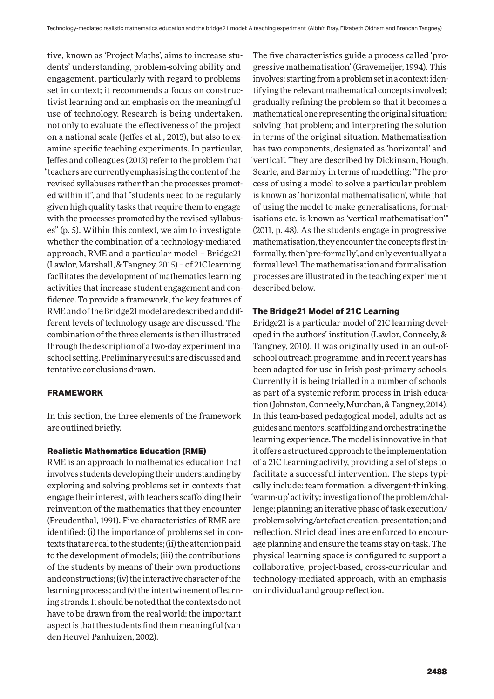tive, known as 'Project Maths', aims to increase students' understanding, problem-solving ability and engagement, particularly with regard to problems set in context; it recommends a focus on constructivist learning and an emphasis on the meaningful use of technology. Research is being undertaken, not only to evaluate the effectiveness of the project on a national scale (Jeffes et al., 2013), but also to examine specific teaching experiments. In particular, Jeffes and colleagues (2013) refer to the problem that "teachers are currently emphasising the content of the revised syllabuses rather than the processes promoted within it", and that "students need to be regularly given high quality tasks that require them to engage with the processes promoted by the revised syllabuses" (p. 5). Within this context, we aim to investigate whether the combination of a technology-mediated approach, RME and a particular model – Bridge21 (Lawlor, Marshall, & Tangney, 2015) – of 21C learning facilitates the development of mathematics learning activities that increase student engagement and confidence. To provide a framework, the key features of RME and of the Bridge21 model are described and different levels of technology usage are discussed. The combination of the three elements is then illustrated through the description of a two-day experiment in a school setting. Preliminary results are discussed and tentative conclusions drawn.

## **FRAMEWORK**

In this section, the three elements of the framework are outlined briefly.

## **Realistic Mathematics Education (RME)**

RME is an approach to mathematics education that involves students developing their understanding by exploring and solving problems set in contexts that engage their interest, with teachers scaffolding their reinvention of the mathematics that they encounter (Freudenthal, 1991). Five characteristics of RME are identified: (i) the importance of problems set in contexts that are real to the students; (ii) the attention paid to the development of models; (iii) the contributions of the students by means of their own productions and constructions; (iv) the interactive character of the learning process; and (v) the intertwinement of learning strands. It should be noted that the contexts do not have to be drawn from the real world; the important aspect is that the students find them meaningful (van den Heuvel-Panhuizen, 2002).

The five characteristics guide a process called 'progressive mathematisation' (Gravemeijer, 1994). This involves: starting from a problem set in a context; identifying the relevant mathematical concepts involved; gradually refining the problem so that it becomes a mathematical one representing the original situation; solving that problem; and interpreting the solution in terms of the original situation. Mathematisation has two components, designated as 'horizontal' and 'vertical'. They are described by Dickinson, Hough, Searle, and Barmby in terms of modelling: "The process of using a model to solve a particular problem is known as 'horizontal mathematisation', while that of using the model to make generalisations, formalisations etc. is known as 'vertical mathematisation'" (2011, p. 48). As the students engage in progressive mathematisation, they encounter the concepts first informally, then 'pre-formally', and only eventually at a formal level. The mathematisation and formalisation processes are illustrated in the teaching experiment described below.

# **The Bridge21 Model of 21C Learning**

Bridge21 is a particular model of 21C learning developed in the authors' institution (Lawlor, Conneely, & Tangney, 2010). It was originally used in an out-ofschool outreach programme, and in recent years has been adapted for use in Irish post-primary schools. Currently it is being trialled in a number of schools as part of a systemic reform process in Irish education (Johnston, Conneely, Murchan, & Tangney, 2014). In this team-based pedagogical model, adults act as guides and mentors, scaffolding and orchestrating the learning experience. The model is innovative in that it offers a structured approach to the implementation of a 21C Learning activity, providing a set of steps to facilitate a successful intervention. The steps typically include: team formation; a divergent-thinking, 'warm-up' activity; investigation of the problem/challenge; planning; an iterative phase of task execution/ problem solving/artefact creation; presentation; and reflection. Strict deadlines are enforced to encourage planning and ensure the teams stay on-task. The physical learning space is configured to support a collaborative, project-based, cross-curricular and technology-mediated approach, with an emphasis on individual and group reflection.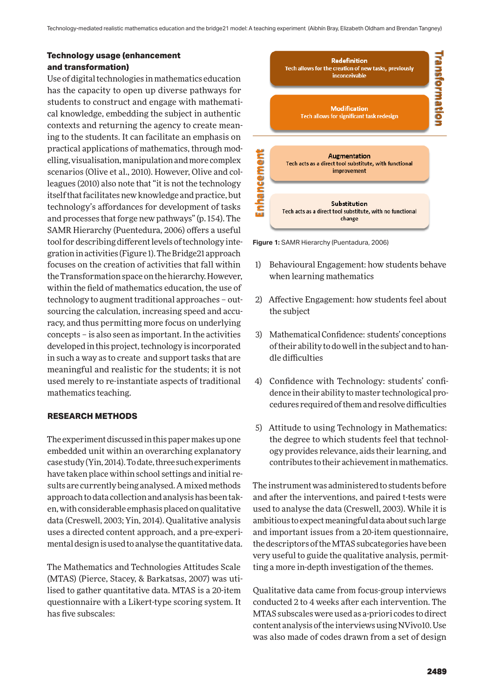# **Technology usage (enhancement and transformation)**

Use of digital technologies in mathematics education has the capacity to open up diverse pathways for students to construct and engage with mathematical knowledge, embedding the subject in authentic contexts and returning the agency to create meaning to the students. It can facilitate an emphasis on practical applications of mathematics, through modelling, visualisation, manipulation and more complex scenarios (Olive et al., 2010). However, Olive and colleagues (2010) also note that "it is not the technology itself that facilitates new knowledge and practice, but technology's affordances for development of tasks and processes that forge new pathways" (p. 154). The SAMR Hierarchy (Puentedura, 2006) offers a useful tool for describing different levels of technology integration in activities (Figure 1). The Bridge21 approach focuses on the creation of activities that fall within the Transformation space on the hierarchy. However, within the field of mathematics education, the use of technology to augment traditional approaches – outsourcing the calculation, increasing speed and accuracy, and thus permitting more focus on underlying concepts – is also seen as important. In the activities developed in this project, technology is incorporated in such a way as to create and support tasks that are meaningful and realistic for the students; it is not used merely to re-instantiate aspects of traditional mathematics teaching.

# **RESEARCH METHODS**

The experiment discussed in this paper makes up one embedded unit within an overarching explanatory case study (Yin, 2014). To date, three such experiments have taken place within school settings and initial results are currently being analysed. A mixed methods approach to data collection and analysis has been taken, with considerable emphasis placed on qualitative data (Creswell, 2003; Yin, 2014). Qualitative analysis uses a directed content approach, and a pre-experimental design is used to analyse the quantitative data.

The Mathematics and Technologies Attitudes Scale (MTAS) (Pierce, Stacey, & Barkatsas, 2007) was utilised to gather quantitative data. MTAS is a 20-item questionnaire with a Likert-type scoring system. It has five subscales:



**Figure 1:** SAMR Hierarchy (Puentadura, 2006)

- 1) Behavioural Engagement: how students behave when learning mathematics
- 2) Affective Engagement: how students feel about the subject
- 3) Mathematical Confidence: students' conceptions of their ability to do well in the subject and to handle difficulties
- 4) Confidence with Technology: students' confidence in their ability to master technological procedures required of them and resolve difficulties
- 5) Attitude to using Technology in Mathematics: the degree to which students feel that technology provides relevance, aids their learning, and contributes to their achievement in mathematics.

The instrument was administered to students before and after the interventions, and paired t-tests were used to analyse the data (Creswell, 2003). While it is ambitious to expect meaningful data about such large and important issues from a 20-item questionnaire, the descriptors of the MTAS subcategories have been very useful to guide the qualitative analysis, permitting a more in-depth investigation of the themes.

Qualitative data came from focus-group interviews conducted 2 to 4 weeks after each intervention. The MTAS subscales were used as a-priori codes to direct content analysis of the interviews using NVivo10. Use was also made of codes drawn from a set of design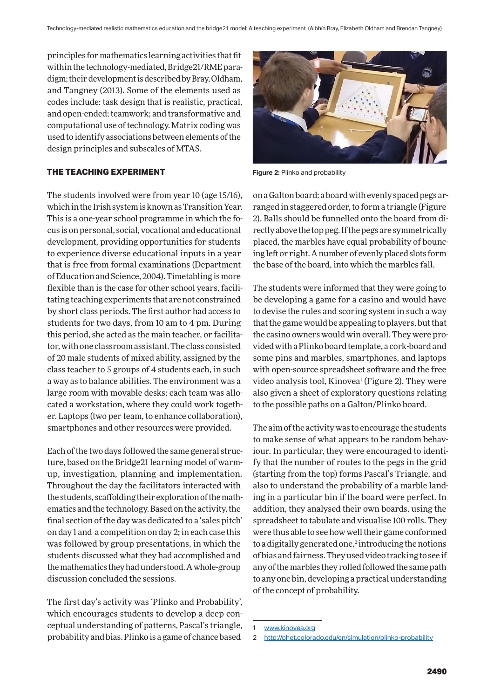principles for mathematics learning activities that fit within the technology-mediated, Bridge21/RME paradigm; their development is described by Bray, Oldham, and Tangney (2013). Some of the elements used as codes include: task design that is realistic, practical, and open-ended; teamwork; and transformative and computational use of technology. Matrix coding was used to identify associations between elements of the design principles and subscales of MTAS.

## **THE TEACHING EXPERIMENT**

The students involved were from year 10 (age 15/16), which in the Irish system is known as Transition Year. This is a one-year school programme in which the focus is on personal, social, vocational and educational development, providing opportunities for students to experience diverse educational inputs in a year that is free from formal examinations (Department of Education and Science, 2004). Timetabling is more flexible than is the case for other school years, facilitating teaching experiments that are not constrained by short class periods. The first author had access to students for two days, from 10 am to 4 pm. During this period, she acted as the main teacher, or facilitator, with one classroom assistant. The class consisted of 20 male students of mixed ability, assigned by the class teacher to 5 groups of 4 students each, in such a way as to balance abilities. The environment was a large room with movable desks; each team was allocated a workstation, where they could work together. Laptops (two per team, to enhance collaboration), smartphones and other resources were provided.

Each of the two days followed the same general structure, based on the Bridge21 learning model of warmup, investigation, planning and implementation. Throughout the day the facilitators interacted with the students, scaffolding their exploration of the mathematics and the technology. Based on the activity, the final section of the day was dedicated to a 'sales pitch' on day 1 and a competition on day 2; in each case this was followed by group presentations, in which the students discussed what they had accomplished and the mathematics they had understood. A whole-group discussion concluded the sessions.

The first day's activity was 'Plinko and Probability', which encourages students to develop a deep conceptual understanding of patterns, Pascal's triangle, probability and bias. Plinko is a game of chance based



**Figure 2:** Plinko and probability

on a Galton board: a board with evenly spaced pegs arranged in staggered order, to form a triangle (Figure 2). Balls should be funnelled onto the board from directly above the top peg. If the pegs are symmetrically placed, the marbles have equal probability of bouncing left or right. A number of evenly placed slots form the base of the board, into which the marbles fall.

The students were informed that they were going to be developing a game for a casino and would have to devise the rules and scoring system in such a way that the game would be appealing to players, but that the casino owners would win overall. They were provided with a Plinko board template, a cork-board and some pins and marbles, smartphones, and laptops with open-source spreadsheet software and the free video analysis tool, Kinovea<sup>1</sup> (Figure 2). They were also given a sheet of exploratory questions relating to the possible paths on a Galton/Plinko board.

The aim of the activity was to encourage the students to make sense of what appears to be random behaviour. In particular, they were encouraged to identify that the number of routes to the pegs in the grid (starting from the top) forms Pascal's Triangle, and also to understand the probability of a marble landing in a particular bin if the board were perfect. In addition, they analysed their own boards, using the spreadsheet to tabulate and visualise 100 rolls. They were thus able to see how well their game conformed to a digitally generated one, $2$  introducing the notions of bias and fairness. They used video tracking to see if any of the marbles they rolled followed the same path to any one bin, developing a practical understanding of the concept of probability.

<sup>1</sup> www.kinovea.org

<sup>2</sup> http://phet.colorado.edu/en/simulation/plinko-probability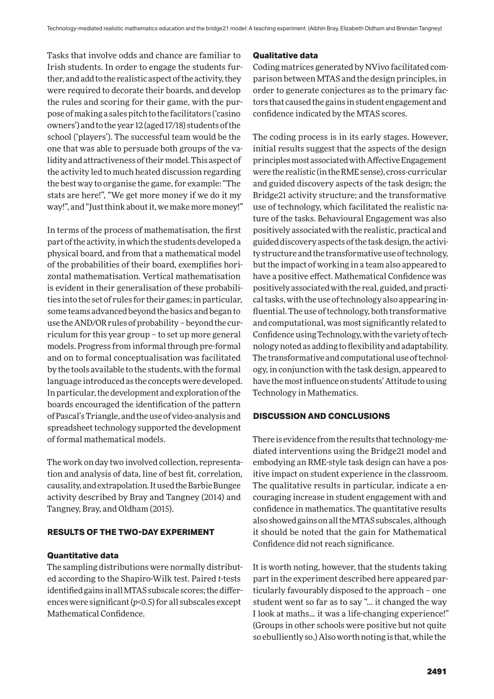Tasks that involve odds and chance are familiar to Irish students. In order to engage the students further, and add to the realistic aspect of the activity, they were required to decorate their boards, and develop the rules and scoring for their game, with the purpose of making a sales pitch to the facilitators ('casino owners') and to the year 12 (aged 17/18) students of the school ('players'). The successful team would be the one that was able to persuade both groups of the validity and attractiveness of their model. This aspect of the activity led to much heated discussion regarding the best way to organise the game, for example: "The stats are here!", "We get more money if we do it my way!", and "Just think about it, we make more money!"

In terms of the process of mathematisation, the first part of the activity, in which the students developed a physical board, and from that a mathematical model of the probabilities of their board, exemplifies horizontal mathematisation. Vertical mathematisation is evident in their generalisation of these probabilities into the set of rules for their games; in particular, some teams advanced beyond the basics and began to use the AND/OR rules of probability – beyond the curriculum for this year group – to set up more general models. Progress from informal through pre-formal and on to formal conceptualisation was facilitated by the tools available to the students, with the formal language introduced as the concepts were developed. In particular, the development and exploration of the boards encouraged the identification of the pattern of Pascal's Triangle, and the use of video-analysis and spreadsheet technology supported the development of formal mathematical models.

The work on day two involved collection, representation and analysis of data, line of best fit, correlation, causality, and extrapolation. It used the Barbie Bungee activity described by Bray and Tangney (2014) and Tangney, Bray, and Oldham (2015).

# **RESULTS OF THE TWO-DAY EXPERIMENT**

# **Quantitative data**

The sampling distributions were normally distributed according to the Shapiro-Wilk test. Paired *t*-tests identified gains in all MTAS subscale scores; the differences were significant (*p*<0.5) for all subscales except Mathematical Confidence.

#### **Qualitative data**

Coding matrices generated by NVivo facilitated comparison between MTAS and the design principles, in order to generate conjectures as to the primary factors that caused the gains in student engagement and confidence indicated by the MTAS scores.

The coding process is in its early stages. However, initial results suggest that the aspects of the design principles most associated with Affective Engagement were the realistic (in the RME sense), cross-curricular and guided discovery aspects of the task design; the Bridge21 activity structure; and the transformative use of technology, which facilitated the realistic nature of the tasks. Behavioural Engagement was also positively associated with the realistic, practical and guided discovery aspects of the task design, the activity structure and the transformative use of technology, but the impact of working in a team also appeared to have a positive effect. Mathematical Confidence was positively associated with the real, guided, and practical tasks, with the use of technology also appearing influential. The use of technology, both transformative and computational, was most significantly related to Confidence using Technology, with the variety of technology noted as adding to flexibility and adaptability. The transformative and computational use of technology, in conjunction with the task design, appeared to have the most influence on students' Attitude to using Technology in Mathematics.

## **DISCUSSION AND CONCLUSIONS**

There is evidence from the results that technology-mediated interventions using the Bridge21 model and embodying an RME-style task design can have a positive impact on student experience in the classroom. The qualitative results in particular, indicate a encouraging increase in student engagement with and confidence in mathematics. The quantitative results also showed gains on all the MTAS subscales, although it should be noted that the gain for Mathematical Confidence did not reach significance.

It is worth noting, however, that the students taking part in the experiment described here appeared particularly favourably disposed to the approach – one student went so far as to say "… it changed the way I look at maths… it was a life-changing experience!" (Groups in other schools were positive but not quite so ebulliently so.) Also worth noting is that, while the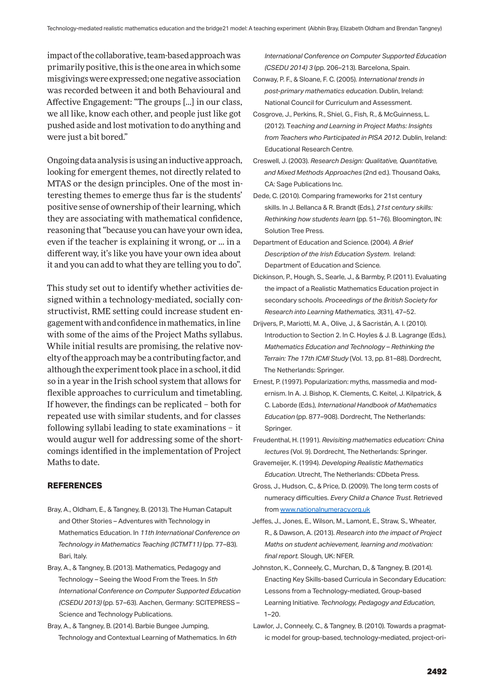impact of the collaborative, team-based approach was primarily positive, this is the one area in which some misgivings were expressed; one negative association was recorded between it and both Behavioural and Affective Engagement: "The groups […] in our class, we all like, know each other, and people just like got pushed aside and lost motivation to do anything and were just a bit bored."

Ongoing data analysis is using an inductive approach, looking for emergent themes, not directly related to MTAS or the design principles. One of the most interesting themes to emerge thus far is the students' positive sense of ownership of their learning, which they are associating with mathematical confidence, reasoning that "because you can have your own idea, even if the teacher is explaining it wrong, or … in a different way, it's like you have your own idea about it and you can add to what they are telling you to do".

This study set out to identify whether activities designed within a technology-mediated, socially constructivist, RME setting could increase student engagement with and confidence in mathematics, in line with some of the aims of the Project Maths syllabus. While initial results are promising, the relative novelty of the approach may be a contributing factor, and although the experiment took place in a school, it did so in a year in the Irish school system that allows for flexible approaches to curriculum and timetabling. If however, the findings can be replicated – both for repeated use with similar students, and for classes following syllabi leading to state examinations – it would augur well for addressing some of the shortcomings identified in the implementation of Project Maths to date.

# **REFERENCES**

- Bray, A., Oldham, E., & Tangney, B. (2013). The Human Catapult and Other Stories – Adventures with Technology in Mathematics Education. In *11th International Conference on Technology in Mathematics Teaching (ICTMT11)* (pp. 77–83). Bari, Italy.
- Bray, A., & Tangney, B. (2013). Mathematics, Pedagogy and Technology – Seeing the Wood From the Trees. In *5th International Conference on Computer Supported Education (CSEDU 2013)* (pp. 57–63). Aachen, Germany: SCITEPRESS – Science and Technology Publications.
- Bray, A., & Tangney, B. (2014). Barbie Bungee Jumping, Technology and Contextual Learning of Mathematics. In *6th*

*International Conference on Computer Supported Education (CSEDU 2014) 3* (pp. 206–213). Barcelona, Spain.

- Conway, P. F., & Sloane, F. C. (2005). *International trends in post-primary mathematics education*. Dublin, Ireland: National Council for Curriculum and Assessment.
- Cosgrove, J., Perkins, R., Shiel, G., Fish, R., & McGuinness, L. (2012). T*eaching and Learning in Project Maths: Insights from Teachers who Participated in PISA 2012*. Dublin, Ireland: Educational Research Centre.
- Creswell, J. (2003). *Research Design: Qualitative, Quantitative, and Mixed Methods Approaches* (2nd ed.). Thousand Oaks, CA: Sage Publications Inc.
- Dede, C. (2010). Comparing frameworks for 21st century skills. In J. Bellanca & R. Brandt (Eds.), *21st century skills: Rethinking how students learn* (pp. 51–76). Bloomington, IN: Solution Tree Press.
- Department of Education and Science. (2004). *A Brief Description of the Irish Education System*. Ireland: Department of Education and Science.
- Dickinson, P., Hough, S., Searle, J., & Barmby, P. (2011). Evaluating the impact of a Realistic Mathematics Education project in secondary schools. *Proceedings of the British Society for Research into Learning Mathematics, 3*(31), 47–52.
- Drijvers, P., Mariotti, M. A., Olive, J., & Sacristán, A. I. (2010). Introduction to Section 2. In C. Hoyles & J. B. Lagrange (Eds.), *Mathematics Education and Technology – Rethinking the Terrain: The 17th ICMI Study* (Vol. 13, pp. 81–88). Dordrecht, The Netherlands: Springer.
- Ernest, P. (1997). Popularization: myths, massmedia and modernism. In A. J. Bishop, K. Clements, C. Keitel, J. Kilpatrick, & C. Laborde (Eds.), *International Handbook of Mathematics Education* (pp. 877–908). Dordrecht, The Netherlands: Springer.
- Freudenthal, H. (1991). *Revisiting mathematics education: China lectures* (Vol. 9). Dordrecht, The Netherlands: Springer.
- Gravemeijer, K. (1994). *Developing Realistic Mathematics Education*. Utrecht, The Netherlands: CDbeta Press.
- Gross, J., Hudson, C., & Price, D. (2009). The long term costs of numeracy difficulties. *Every Child a Chance Trust*. Retrieved from www.nationalnumeracy.org.uk
- Jeffes, J., Jones, E., Wilson, M., Lamont, E., Straw, S., Wheater, R., & Dawson, A. (2013). *Research into the impact of Project Maths on student achievement, learning and motivation: final report.* Slough, UK: NFER.
- Johnston, K., Conneely, C., Murchan, D., & Tangney, B. (2014). Enacting Key Skills-based Curricula in Secondary Education: Lessons from a Technology-mediated, Group-based Learning Initiative. *Technology, Pedagogy and Education*,  $1 - 20.$
- Lawlor, J., Conneely, C., & Tangney, B. (2010). Towards a pragmatic model for group-based, technology-mediated, project-ori-